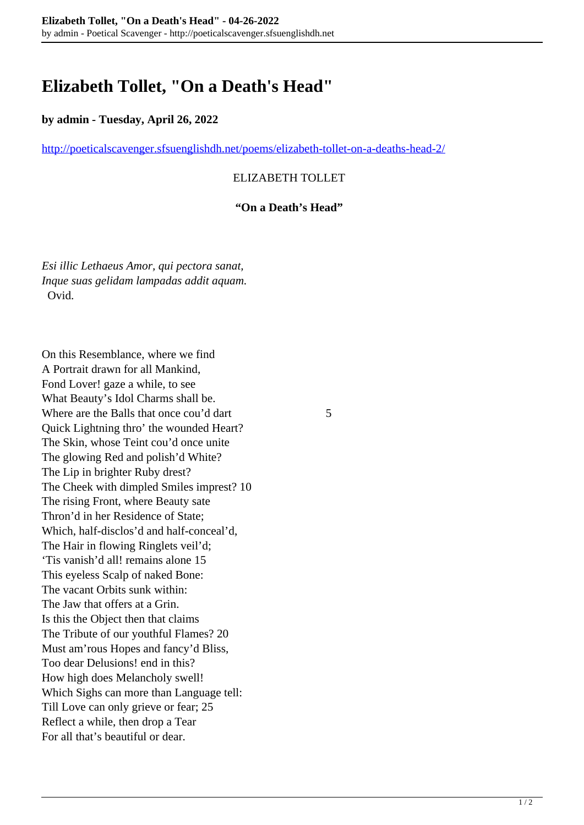# **Elizabeth Tollet, "On a Death's Head"**

### **by admin - Tuesday, April 26, 2022**

<http://poeticalscavenger.sfsuenglishdh.net/poems/elizabeth-tollet-on-a-deaths-head-2/>

## ELIZABETH TOLLET

#### **"On a Death's Head"**

*Esi illic Lethaeus Amor, qui pectora sanat, Inque suas gelidam lampadas addit aquam.* Ovid.

On this Resemblance, where we find A Portrait drawn for all Mankind, Fond Lover! gaze a while, to see What Beauty's Idol Charms shall be. Where are the Balls that once cou'd dart 5 Quick Lightning thro' the wounded Heart? The Skin, whose Teint cou'd once unite The glowing Red and polish'd White? The Lip in brighter Ruby drest? The Cheek with dimpled Smiles imprest? 10 The rising Front, where Beauty sate Thron'd in her Residence of State; Which, half-disclos'd and half-conceal'd, The Hair in flowing Ringlets veil'd; 'Tis vanish'd all! remains alone 15 This eyeless Scalp of naked Bone: The vacant Orbits sunk within: The Jaw that offers at a Grin. Is this the Object then that claims The Tribute of our youthful Flames? 20 Must am'rous Hopes and fancy'd Bliss, Too dear Delusions! end in this? How high does Melancholy swell! Which Sighs can more than Language tell: Till Love can only grieve or fear; 25 Reflect a while, then drop a Tear For all that's beautiful or dear.